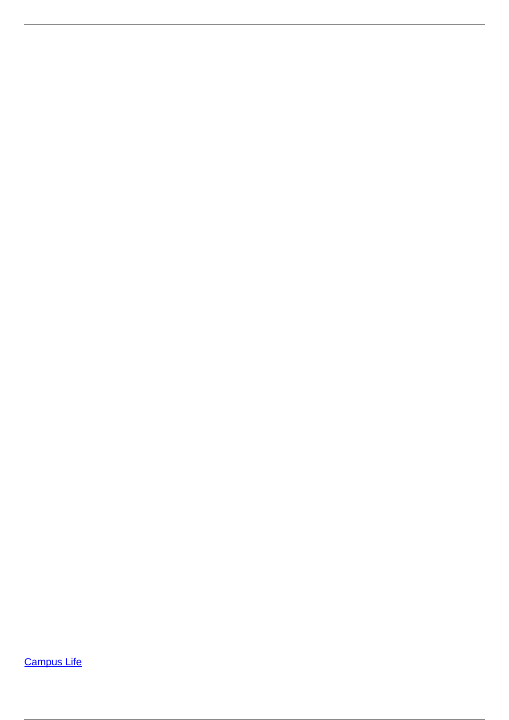**[Campus Life](/campus-life)**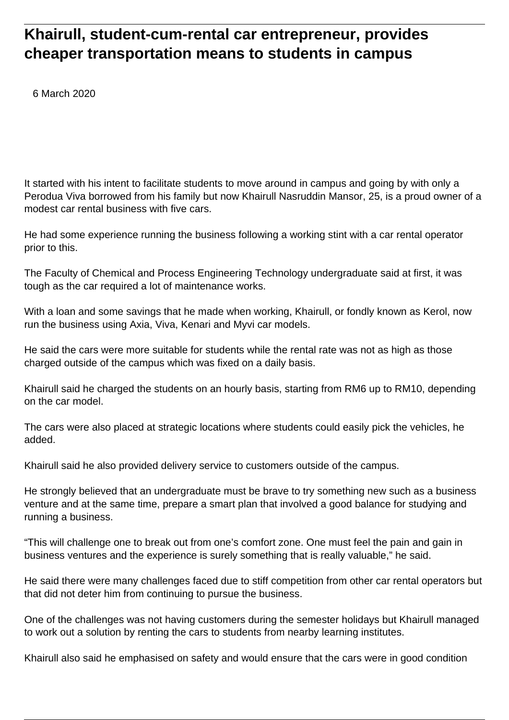## **Khairull, student-cum-rental car entrepreneur, provides cheaper transportation means to students in campus**

6 March 2020

It started with his intent to facilitate students to move around in campus and going by with only a Perodua Viva borrowed from his family but now Khairull Nasruddin Mansor, 25, is a proud owner of a modest car rental business with five cars.

He had some experience running the business following a working stint with a car rental operator prior to this.

The Faculty of Chemical and Process Engineering Technology undergraduate said at first, it was tough as the car required a lot of maintenance works.

With a loan and some savings that he made when working, Khairull, or fondly known as Kerol, now run the business using Axia, Viva, Kenari and Myvi car models.

He said the cars were more suitable for students while the rental rate was not as high as those charged outside of the campus which was fixed on a daily basis.

Khairull said he charged the students on an hourly basis, starting from RM6 up to RM10, depending on the car model.

The cars were also placed at strategic locations where students could easily pick the vehicles, he added.

Khairull said he also provided delivery service to customers outside of the campus.

He strongly believed that an undergraduate must be brave to try something new such as a business venture and at the same time, prepare a smart plan that involved a good balance for studying and running a business.

"This will challenge one to break out from one's comfort zone. One must feel the pain and gain in business ventures and the experience is surely something that is really valuable," he said.

He said there were many challenges faced due to stiff competition from other car rental operators but that did not deter him from continuing to pursue the business.

One of the challenges was not having customers during the semester holidays but Khairull managed to work out a solution by renting the cars to students from nearby learning institutes.

Khairull also said he emphasised on safety and would ensure that the cars were in good condition